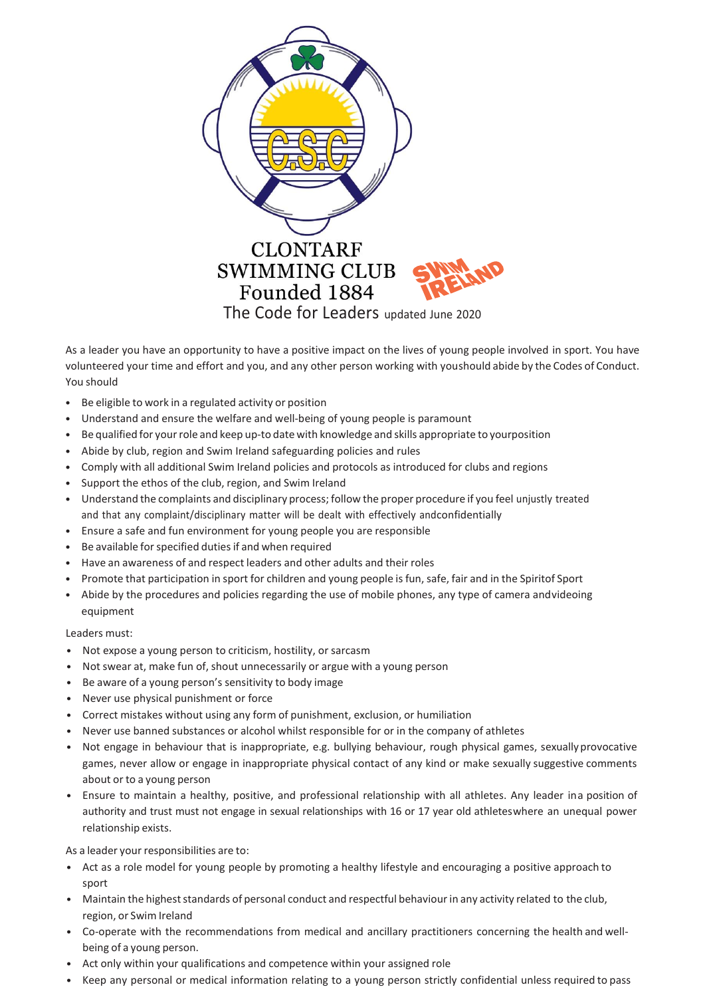

As a leader you have an opportunity to have a positive impact on the lives of young people involved in sport. You have volunteered your time and effort and you, and any other person working with youshould abide by the Codes of Conduct. You should

- Be eligible to work in a regulated activity or position
- Understand and ensure the welfare and well-being of young people is paramount
- Be qualified for yourrole and keep up-to date with knowledge and skills appropriate to yourposition
- Abide by club, region and Swim Ireland safeguarding policies and rules
- Comply with all additional Swim Ireland policies and protocols as introduced for clubs and regions
- Support the ethos of the club, region, and Swim Ireland
- Understand the complaints and disciplinary process; follow the proper procedure if you feel unjustly treated and that any complaint/disciplinary matter will be dealt with effectively andconfidentially
- Ensure a safe and fun environment for young people you are responsible
- Be available for specified duties if and when required
- Have an awareness of and respect leaders and other adults and their roles
- Promote that participation in sport for children and young people is fun, safe, fair and in the Spiritof Sport
- Abide by the procedures and policies regarding the use of mobile phones, any type of camera andvideoing equipment

Leaders must:

- Not expose a young person to criticism, hostility, or sarcasm
- Not swear at, make fun of, shout unnecessarily or argue with a young person
- Be aware of a young person's sensitivity to body image
- Never use physical punishment or force
- Correct mistakes without using any form of punishment, exclusion, or humiliation
- Never use banned substances or alcohol whilst responsible for or in the company of athletes
- Not engage in behaviour that is inappropriate, e.g. bullying behaviour, rough physical games, sexually provocative games, never allow or engage in inappropriate physical contact of any kind or make sexually suggestive comments about or to a young person
- Ensure to maintain a healthy, positive, and professional relationship with all athletes. Any leader ina position of authority and trust must not engage in sexual relationships with 16 or 17 year old athleteswhere an unequal power relationship exists.

As a leader your responsibilities are to:

- Act as a role model for young people by promoting a healthy lifestyle and encouraging a positive approach to sport
- Maintain the highest standards of personal conduct and respectful behaviour in any activity related to the club, region, or Swim Ireland
- Co-operate with the recommendations from medical and ancillary practitioners concerning the health and wellbeing of a young person.
- Act only within your qualifications and competence within your assigned role
- Keep any personal or medical information relating to a young person strictly confidential unless required to pass